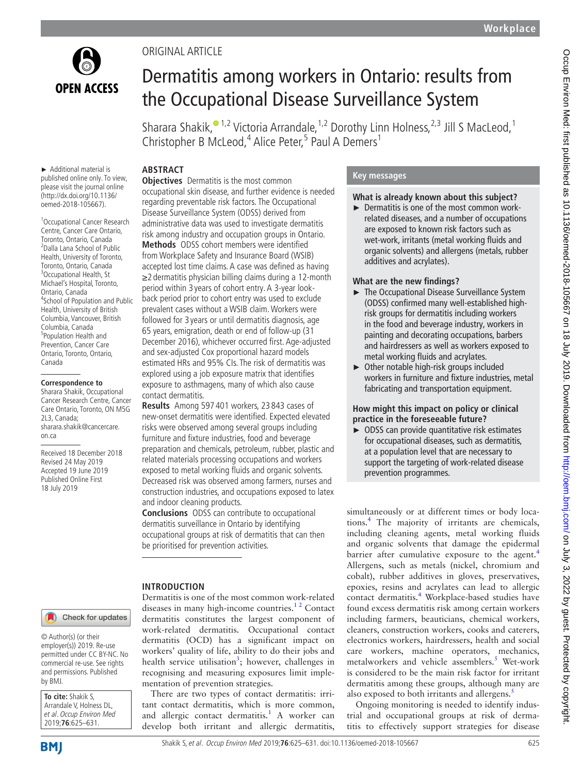

Original article

# Dermatitis among workers in Ontario: results from the Occupational Disease Surveillance System

Sharara Shakik, $^{\circ}$ <sup>1,2</sup> Victoria Arrandale,<sup>1,2</sup> Dorothy Linn Holness,<sup>2,3</sup> Jill S MacLeod,<sup>1</sup> Christopher B McLeod,<sup>4</sup> Alice Peter,<sup>5</sup> Paul A Demers<sup>1</sup>

► Additional material is published online only. To view, please visit the journal online (http://dx.doi.org/10.1136/ oemed-2018-105667).

1 Occupational Cancer Research Centre, Cancer Care Ontario, Toronto, Ontario, Canada <sup>2</sup> <sup>2</sup>Dalla Lana School of Public Health, University of Toronto, Toronto, Ontario, Canada <sup>3</sup> <sup>3</sup>Occupational Health, St Michael's Hospital, Toronto, Ontario, Canada <sup>4</sup> <sup>4</sup>School of Population and Public Health, University of British Columbia, Vancouver, British Columbia, Canada <sup>5</sup> <sup>5</sup>Population Health and Prevention, Cancer Care Ontario, Toronto, Ontario, Canada

#### **Correspondence to**

Sharara Shakik, Occupational Cancer Research Centre, Cancer Care Ontario, Toronto, ON M5G 2L3, Canada; sharara.shakik@cancercare. on.ca

Received 18 December 2018 Revised 24 May 2019 Accepted 19 June 2019 Published Online First 18 July 2019

# **Abstract**

**Objectives** Dermatitis is the most common occupational skin disease, and further evidence is needed regarding preventable risk factors. The Occupational Disease Surveillance System (ODSS) derived from administrative data was used to investigate dermatitis risk among industry and occupation groups in Ontario. **Methods** ODSS cohort members were identified from Workplace Safety and Insurance Board (WSIB) accepted lost time claims. A case was defined as having ≥2 dermatitis physician billing claims during a 12-month period within 3 years of cohort entry. A 3-year lookback period prior to cohort entry was used to exclude prevalent cases without a WSIB claim. Workers were followed for 3 years or until dermatitis diagnosis, age 65 years, emigration, death or end of follow-up (31 December 2016), whichever occurred first. Age-adjusted and sex-adjusted Cox proportional hazard models estimated HRs and 95% CIs. The risk of dermatitis was explored using a job exposure matrix that identifies exposure to asthmagens, many of which also cause contact dermatitis.

**Results** Among 597 401 workers, 23 843 cases of new-onset dermatitis were identified. Expected elevated risks were observed among several groups including furniture and fixture industries, food and beverage preparation and chemicals, petroleum, rubber, plastic and related materials processing occupations and workers exposed to metal working fluids and organic solvents. Decreased risk was observed among farmers, nurses and construction industries, and occupations exposed to latex and indoor cleaning products.

**Conclusions** ODSS can contribute to occupational dermatitis surveillance in Ontario by identifying occupational groups at risk of dermatitis that can then be prioritised for prevention activities.

# **Introduction**

Dermatitis is one of the most common work-related diseases in many high-income countries.<sup>12</sup> Contact dermatitis constitutes the largest component of work-related dermatitis. Occupational contact dermatitis (OCD) has a significant impact on workers' quality of life, ability to do their jobs and health service utilisation<sup>3</sup>; however, challenges in recognising and measuring exposures limit implementation of prevention strategies.

There are two types of contact dermatitis: irritant contact dermatitis, which is more common, and allergic contact dermatitis.<sup>[1](#page-6-0)</sup> A worker can develop both irritant and allergic dermatitis,

# **Key messages**

# **What is already known about this subject?**

► Dermatitis is one of the most common workrelated diseases, and a number of occupations are exposed to known risk factors such as wet-work, irritants (metal working fluids and organic solvents) and allergens (metals, rubber additives and acrylates).

# **What are the new findings?**

- ► The Occupational Disease Surveillance System (ODSS) confirmed many well-established highrisk groups for dermatitis including workers in the food and beverage industry, workers in painting and decorating occupations, barbers and hairdressers as well as workers exposed to metal working fluids and acrylates.
- ► Other notable high-risk groups included workers in furniture and fixture industries, metal fabricating and transportation equipment.

## **How might this impact on policy or clinical practice in the foreseeable future?**

► ODSS can provide quantitative risk estimates for occupational diseases, such as dermatitis, at a population level that are necessary to support the targeting of work-related disease prevention programmes.

## Check for updates

© Author(s) (or their employer(s)) 2019. Re-use permitted under CC BY-NC. No commercial re-use. See rights and permissions. Published by BMJ.

**To cite:** Shakik S, Arrandale V, Holness DL, et al. Occup Environ Med 2019;**76**:625–631.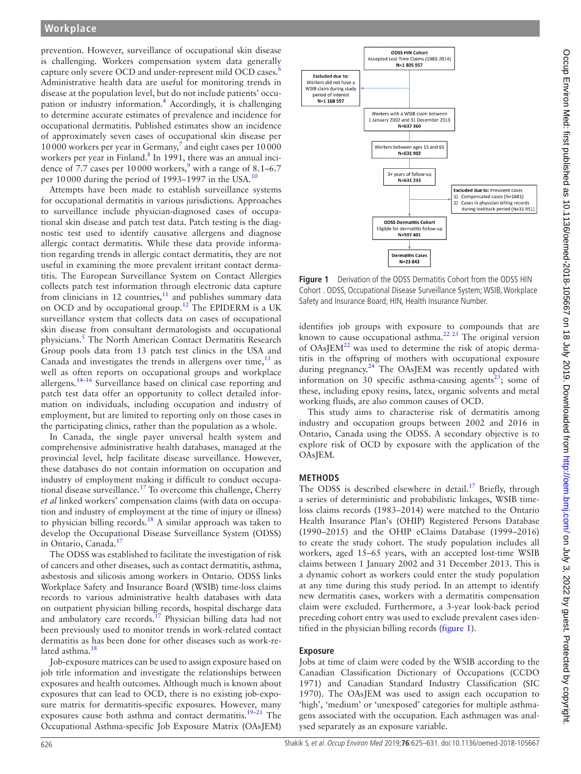prevention. However, surveillance of occupational skin disease is challenging. Workers compensation system data generally capture only severe OCD and under-represent mild OCD cases.<sup>6</sup> Administrative health data are useful for monitoring trends in disease at the population level, but do not include patients' occu-pation or industry information.<sup>[4](#page-6-2)</sup> Accordingly, it is challenging to determine accurate estimates of prevalence and incidence for occupational dermatitis. Published estimates show an incidence of approximately seven cases of occupational skin disease per 10000 workers per year in Germany,<sup>[7](#page-6-5)</sup> and eight cases per 10000 workers per year in Finland.<sup>8</sup> In 1991, there was an annual incidence of 7.7 cases per  $10000$  workers,<sup>[9](#page-6-7)</sup> with a range of 8.1–6.7 per [10](#page-6-8)000 during the period of 1993–1997 in the USA.<sup>10</sup>

Attempts have been made to establish surveillance systems for occupational dermatitis in various jurisdictions. Approaches to surveillance include physician-diagnosed cases of occupational skin disease and patch test data. Patch testing is the diagnostic test used to identify causative allergens and diagnose allergic contact dermatitis. While these data provide information regarding trends in allergic contact dermatitis, they are not useful in examining the more prevalent irritant contact dermatitis. The European Surveillance System on Contact Allergies collects patch test information through electronic data capture from clinicians in 12 countries, $11$  and publishes summary data on OCD and by occupational group.<sup>12</sup> The EPIDERM is a UK surveillance system that collects data on cases of occupational skin disease from consultant dermatologists and occupational physicians.<sup>[5](#page-6-3)</sup> The North American Contact Dermatitis Research Group pools data from 13 patch test clinics in the USA and Canada and investigates the trends in allergens over time,  $13$  as well as often reports on occupational groups and workplace allergens[.14–16](#page-6-12) Surveillance based on clinical case reporting and patch test data offer an opportunity to collect detailed information on individuals, including occupation and industry of employment, but are limited to reporting only on those cases in the participating clinics, rather than the population as a whole.

In Canada, the single payer universal health system and comprehensive administrative health databases, managed at the provincial level, help facilitate disease surveillance. However, these databases do not contain information on occupation and industry of employment making it difficult to conduct occupational disease surveillance[.17](#page-6-13) To overcome this challenge, Cherry *et al* linked workers' compensation claims (with data on occupation and industry of employment at the time of injury or illness) to physician billing records.<sup>18</sup> A similar approach was taken to develop the Occupational Disease Surveillance System (ODSS) in Ontario, Canada.<sup>17</sup>

The ODSS was established to facilitate the investigation of risk of cancers and other diseases, such as contact dermatitis, asthma, asbestosis and silicosis among workers in Ontario. ODSS links Workplace Safety and Insurance Board (WSIB) time-loss claims records to various administrative health databases with data on outpatient physician billing records, hospital discharge data and ambulatory care records.<sup>[17](#page-6-13)</sup> Physician billing data had not been previously used to monitor trends in work-related contact dermatitis as has been done for other diseases such as work-related asthma.<sup>18</sup>

Job-exposure matrices can be used to assign exposure based on job title information and investigate the relationships between exposures and health outcomes. Although much is known about exposures that can lead to OCD, there is no existing job-exposure matrix for dermatitis-specific exposures. However, many exposures cause both asthma and contact dermatitis.<sup>19-21</sup> The Occupational Asthma-specific Job Exposure Matrix (OAsJEM)



<span id="page-1-0"></span>**Figure 1** Derivation of the ODSS Dermatitis Cohort from the ODSS HIN Cohort . ODSS, Occupational Disease Surveillance System; WSIB, Workplace Safety and Insurance Board; HIN, Health Insurance Number.

identifies job groups with exposure to compounds that are known to cause occupational asthma.[22 23](#page-6-16) The original version of  $OAs/EM^{22}$  $OAs/EM^{22}$  $OAs/EM^{22}$  was used to determine the risk of atopic dermatitis in the offspring of mothers with occupational exposure during pregnancy. $24$  The OAsJEM was recently updated with information on 30 specific asthma-causing agents<sup>[23](#page-6-18)</sup>; some of these, including epoxy resins, latex, organic solvents and metal working fluids, are also common causes of OCD.

This study aims to characterise risk of dermatitis among industry and occupation groups between 2002 and 2016 in Ontario, Canada using the ODSS. A secondary objective is to explore risk of OCD by exposure with the application of the OAsJEM.

# **Methods**

The ODSS is described elsewhere in detail.<sup>[17](#page-6-13)</sup> Briefly, through a series of deterministic and probabilistic linkages, WSIB timeloss claims records (1983–2014) were matched to the Ontario Health Insurance Plan's (OHIP) Registered Persons Database (1990–2015) and the OHIP eClaims Database (1999–2016) to create the study cohort. The study population includes all workers, aged 15–65 years, with an accepted lost-time WSIB claims between 1 January 2002 and 31 December 2013. This is a dynamic cohort as workers could enter the study population at any time during this study period. In an attempt to identify new dermatitis cases, workers with a dermatitis compensation claim were excluded. Furthermore, a 3-year look-back period preceding cohort entry was used to exclude prevalent cases identified in the physician billing records [\(figure](#page-1-0) 1).

#### **Exposure**

Jobs at time of claim were coded by the WSIB according to the Canadian Classification Dictionary of Occupations (CCDO 1971) and Canadian Standard Industry Classification (SIC 1970). The OAsJEM was used to assign each occupation to 'high', 'medium' or 'unexposed' categories for multiple asthmagens associated with the occupation. Each asthmagen was analysed separately as an exposure variable.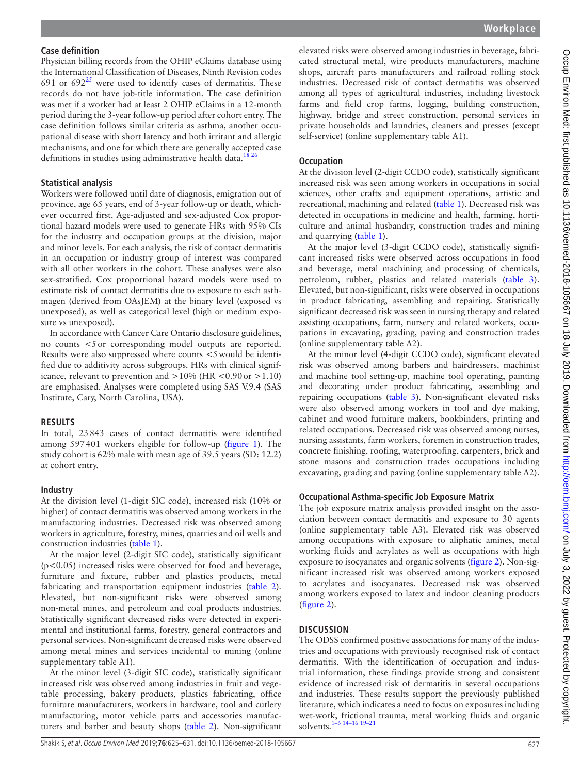#### **Case definition**

Physician billing records from the OHIP eClaims database using the International Classification of Diseases, Ninth Revision codes 691 or  $692^{25}$  were used to identify cases of dermatitis. These records do not have job-title information. The case definition was met if a worker had at least 2 OHIP eClaims in a 12-month period during the 3-year follow-up period after cohort entry. The case definition follows similar criteria as asthma, another occupational disease with short latency and both irritant and allergic mechanisms, and one for which there are generally accepted case definitions in studies using administrative health data.<sup>18 26</sup>

#### **Statistical analysis**

Workers were followed until date of diagnosis, emigration out of province, age 65 years, end of 3-year follow-up or death, whichever occurred first. Age-adjusted and sex-adjusted Cox proportional hazard models were used to generate HRs with 95% CIs for the industry and occupation groups at the division, major and minor levels. For each analysis, the risk of contact dermatitis in an occupation or industry group of interest was compared with all other workers in the cohort. These analyses were also sex-stratified. Cox proportional hazard models were used to estimate risk of contact dermatitis due to exposure to each asthmagen (derived from OAsJEM) at the binary level (exposed vs unexposed), as well as categorical level (high or medium exposure vs unexposed).

In accordance with Cancer Care Ontario disclosure guidelines, no counts <5or corresponding model outputs are reported. Results were also suppressed where counts <5would be identified due to additivity across subgroups. HRs with clinical significance, relevant to prevention and  $>10\%$  (HR <0.90 or  $>1.10$ ) are emphasised. Analyses were completed using SAS V.9.4 (SAS Institute, Cary, North Carolina, USA).

#### **Results**

In total, 23843 cases of contact dermatitis were identified among 597401 workers eligible for follow-up ([figure](#page-1-0) 1). The study cohort is 62% male with mean age of 39.5 years (SD: 12.2) at cohort entry.

#### **Industry**

At the division level (1-digit SIC code), increased risk (10% or higher) of contact dermatitis was observed among workers in the manufacturing industries. Decreased risk was observed among workers in agriculture, forestry, mines, quarries and oil wells and construction industries [\(table](#page-3-0) 1).

At the major level (2-digit SIC code), statistically significant (p<0.05) increased risks were observed for food and beverage, furniture and fixture, rubber and plastics products, metal fabricating and transportation equipment industries [\(table](#page-4-0) 2). Elevated, but non-significant risks were observed among non-metal mines, and petroleum and coal products industries. Statistically significant decreased risks were detected in experimental and institutional farms, forestry, general contractors and personal services. Non-significant decreased risks were observed among metal mines and services incidental to mining (online [supplementary table A1](https://dx.doi.org/10.1136/oemed-2018-105667)).

At the minor level (3-digit SIC code), statistically significant increased risk was observed among industries in fruit and vegetable processing, bakery products, plastics fabricating, office furniture manufacturers, workers in hardware, tool and cutlery manufacturing, motor vehicle parts and accessories manufacturers and barber and beauty shops ([table](#page-4-0) 2). Non-significant

elevated risks were observed among industries in beverage, fabricated structural metal, wire products manufacturers, machine shops, aircraft parts manufacturers and railroad rolling stock industries. Decreased risk of contact dermatitis was observed among all types of agricultural industries, including livestock farms and field crop farms, logging, building construction, highway, bridge and street construction, personal services in private households and laundries, cleaners and presses (except self-service) (online [supplementary table A1](https://dx.doi.org/10.1136/oemed-2018-105667)).

#### **Occupation**

At the division level (2-digit CCDO code), statistically significant increased risk was seen among workers in occupations in social sciences, other crafts and equipment operations, artistic and recreational, machining and related [\(table](#page-3-0) 1). Decreased risk was detected in occupations in medicine and health, farming, horticulture and animal husbandry, construction trades and mining and quarrying [\(table](#page-3-0) 1).

At the major level (3-digit CCDO code), statistically significant increased risks were observed across occupations in food and beverage, metal machining and processing of chemicals, petroleum, rubber, plastics and related materials [\(table](#page-4-1) 3). Elevated, but non-significant, risks were observed in occupations in product fabricating, assembling and repairing. Statistically significant decreased risk was seen in nursing therapy and related assisting occupations, farm, nursery and related workers, occupations in excavating, grading, paving and construction trades (online [supplementary table A2\)](https://dx.doi.org/10.1136/oemed-2018-105667).

At the minor level (4-digit CCDO code), significant elevated risk was observed among barbers and hairdressers, machinist and machine tool setting-up, machine tool operating, painting and decorating under product fabricating, assembling and repairing occupations ([table](#page-4-1) 3). Non-significant elevated risks were also observed among workers in tool and dye making, cabinet and wood furniture makers, bookbinders, printing and related occupations. Decreased risk was observed among nurses, nursing assistants, farm workers, foremen in construction trades, concrete finishing, roofing, waterproofing, carpenters, brick and stone masons and construction trades occupations including excavating, grading and paving (online [supplementary table A2\)](https://dx.doi.org/10.1136/oemed-2018-105667).

#### **Occupational Asthma-specific Job Exposure Matrix**

The job exposure matrix analysis provided insight on the association between contact dermatitis and exposure to 30 agents (online [supplementary table A3\)](https://dx.doi.org/10.1136/oemed-2018-105667). Elevated risk was observed among occupations with exposure to aliphatic amines, metal working fluids and acrylates as well as occupations with high exposure to isocyanates and organic solvents [\(figure](#page-5-0) 2). Non-significant increased risk was observed among workers exposed to acrylates and isocyanates. Decreased risk was observed among workers exposed to latex and indoor cleaning products ([figure](#page-5-0) 2).

#### **Discussion**

The ODSS confirmed positive associations for many of the industries and occupations with previously recognised risk of contact dermatitis. With the identification of occupation and industrial information, these findings provide strong and consistent evidence of increased risk of dermatitis in several occupations and industries. These results support the previously published literature, which indicates a need to focus on exposures including wet-work, frictional trauma, metal working fluids and organic solvents.[1–6 14–16 19–21](#page-6-0)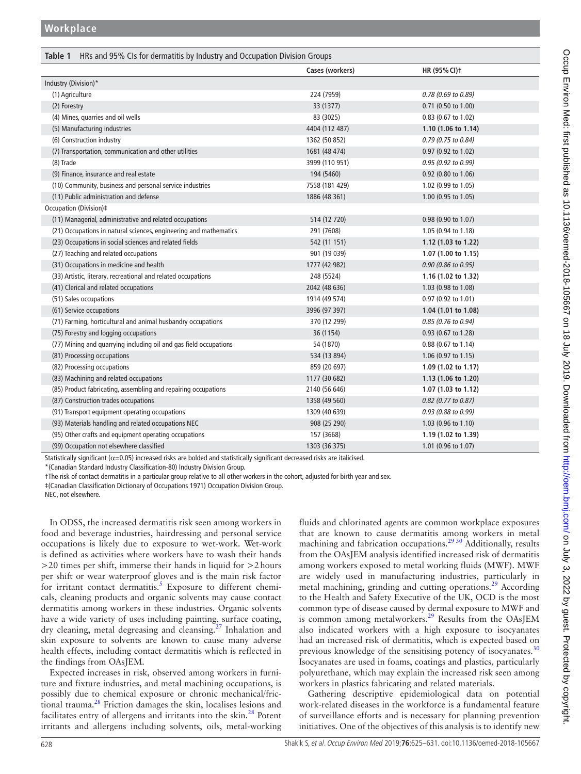<span id="page-3-0"></span>

| HRs and 95% CIs for dermatitis by Industry and Occupation Division Groups<br>Table 1 |                 |                       |  |
|--------------------------------------------------------------------------------------|-----------------|-----------------------|--|
|                                                                                      | Cases (workers) | HR (95% CI) +         |  |
| Industry (Division)*                                                                 |                 |                       |  |
| (1) Agriculture                                                                      | 224 (7959)      | 0.78 (0.69 to 0.89)   |  |
| (2) Forestry                                                                         | 33 (1377)       | $0.71$ (0.50 to 1.00) |  |
| (4) Mines, quarries and oil wells                                                    | 83 (3025)       | 0.83 (0.67 to 1.02)   |  |
| (5) Manufacturing industries                                                         | 4404 (112 487)  | 1.10 (1.06 to 1.14)   |  |
| (6) Construction industry                                                            | 1362 (50 852)   | 0.79 (0.75 to 0.84)   |  |
| (7) Transportation, communication and other utilities                                | 1681 (48 474)   | 0.97 (0.92 to 1.02)   |  |
| (8) Trade                                                                            | 3999 (110 951)  | 0.95 (0.92 to 0.99)   |  |
| (9) Finance, insurance and real estate                                               | 194 (5460)      | 0.92 (0.80 to 1.06)   |  |
| (10) Community, business and personal service industries                             | 7558 (181 429)  | 1.02 (0.99 to 1.05)   |  |
| (11) Public administration and defense                                               | 1886 (48 361)   | 1.00 (0.95 to 1.05)   |  |
| Occupation (Division)‡                                                               |                 |                       |  |
| (11) Managerial, administrative and related occupations                              | 514 (12 720)    | 0.98 (0.90 to 1.07)   |  |
| (21) Occupations in natural sciences, engineering and mathematics                    | 291 (7608)      | 1.05 (0.94 to 1.18)   |  |
| (23) Occupations in social sciences and related fields                               | 542 (11 151)    | 1.12 (1.03 to 1.22)   |  |
| (27) Teaching and related occupations                                                | 901 (19 039)    | 1.07 (1.00 to 1.15)   |  |
| (31) Occupations in medicine and health                                              | 1777 (42 982)   | 0.90 (0.86 to 0.95)   |  |
| (33) Artistic, literary, recreational and related occupations                        | 248 (5524)      | 1.16 (1.02 to 1.32)   |  |
| (41) Clerical and related occupations                                                | 2042 (48 636)   | 1.03 (0.98 to 1.08)   |  |
| (51) Sales occupations                                                               | 1914 (49 574)   | 0.97 (0.92 to 1.01)   |  |
| (61) Service occupations                                                             | 3996 (97 397)   | 1.04(1.01 to 1.08)    |  |
| (71) Farming, horticultural and animal husbandry occupations                         | 370 (12 299)    | 0.85 (0.76 to 0.94)   |  |
| (75) Forestry and logging occupations                                                | 36 (1154)       | 0.93 (0.67 to 1.28)   |  |
| (77) Mining and quarrying including oil and gas field occupations                    | 54 (1870)       | 0.88 (0.67 to 1.14)   |  |
| (81) Processing occupations                                                          | 534 (13 894)    | 1.06 (0.97 to 1.15)   |  |
| (82) Processing occupations                                                          | 859 (20 697)    | 1.09 (1.02 to 1.17)   |  |
| (83) Machining and related occupations                                               | 1177 (30 682)   | 1.13 (1.06 to 1.20)   |  |
| (85) Product fabricating, assembling and repairing occupations                       | 2140 (56 646)   | 1.07 (1.03 to 1.12)   |  |
| (87) Construction trades occupations                                                 | 1358 (49 560)   | 0.82 (0.77 to 0.87)   |  |
| (91) Transport equipment operating occupations                                       | 1309 (40 639)   | 0.93 (0.88 to 0.99)   |  |
| (93) Materials handling and related occupations NEC                                  | 908 (25 290)    | 1.03 (0.96 to 1.10)   |  |
| (95) Other crafts and equipment operating occupations                                | 157 (3668)      | 1.19 (1.02 to 1.39)   |  |
| (99) Occupation not elsewhere classified                                             | 1303 (36 375)   | 1.01 (0.96 to 1.07)   |  |

Statistically significant ( $\alpha$ =0.05) increased risks are bolded and statistically significant decreased risks are italicised.

\*(Canadian Standard Industry Classification-80) Industry Division Group.

†The risk of contact dermatitis in a particular group relative to all other workers in the cohort, adjusted for birth year and sex.

‡(Canadian Classification Dictionary of Occupations 1971) Occupation Division Group.

NEC, not elsewhere.

In ODSS, the increased dermatitis risk seen among workers in food and beverage industries, hairdressing and personal service occupations is likely due to exposure to wet-work. Wet-work is defined as activities where workers have to wash their hands >20 times per shift, immerse their hands in liquid for >2hours per shift or wear waterproof gloves and is the main risk factor for irritant contact dermatitis.<sup>[5](#page-6-3)</sup> Exposure to different chemicals, cleaning products and organic solvents may cause contact dermatitis among workers in these industries. Organic solvents have a wide variety of uses including painting, surface coating, dry cleaning, metal degreasing and cleansing.<sup>27</sup> Inhalation and skin exposure to solvents are known to cause many adverse health effects, including contact dermatitis which is reflected in the findings from OAsJEM.

Expected increases in risk, observed among workers in furniture and fixture industries, and metal machining occupations, is possibly due to chemical exposure or chronic mechanical/fric-tional trauma.<sup>[28](#page-6-21)</sup> Friction damages the skin, localises lesions and facilitates entry of allergens and irritants into the skin. $^{28}$  Potent irritants and allergens including solvents, oils, metal-working

fluids and chlorinated agents are common workplace exposures that are known to cause dermatitis among workers in metal machining and fabrication occupations.<sup>29 30</sup> Additionally, results from the OAsJEM analysis identified increased risk of dermatitis among workers exposed to metal working fluids (MWF). MWF are widely used in manufacturing industries, particularly in metal machining, grinding and cutting operations.<sup>29</sup> According to the Health and Safety Executive of the UK, OCD is the most common type of disease caused by dermal exposure to MWF and is common among metalworkers.<sup>[29](#page-6-22)</sup> Results from the OAsJEM also indicated workers with a high exposure to isocyanates had an increased risk of dermatitis, which is expected based on previous knowledge of the sensitising potency of isocyanates.<sup>[30](#page-6-23)</sup> Isocyanates are used in foams, coatings and plastics, particularly polyurethane, which may explain the increased risk seen among workers in plastics fabricating and related materials.

Gathering descriptive epidemiological data on potential work-related diseases in the workforce is a fundamental feature of surveillance efforts and is necessary for planning prevention initiatives. One of the objectives of this analysis is to identify new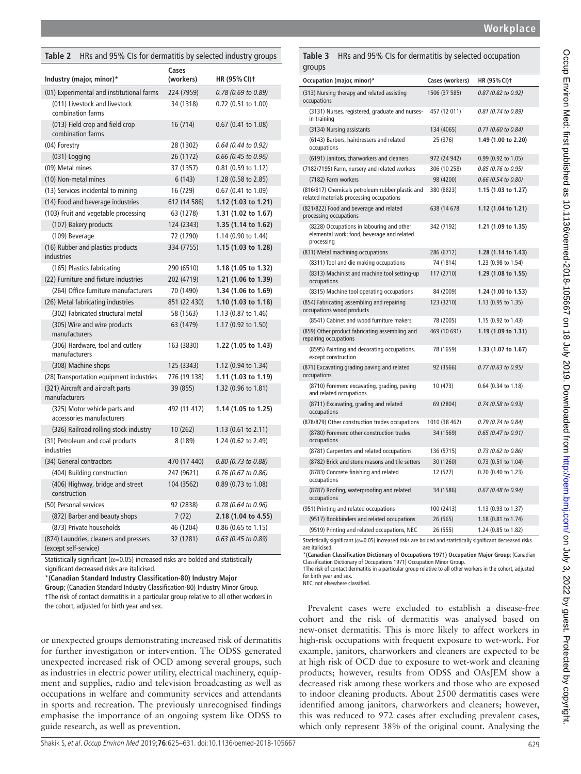| Workplace |
|-----------|
|-----------|

# **(workers) HR (95%CI)†** (01) Experimental and institutional farms 224 (7959) *0.78 (0.69 to 0.89)* 34 (1318) 0.72 (0.51 to 1.00) 16 (714) 0.67 (0.41 to 1.08) (04) Forestry 28 (1302) *0.64 (0.44 to 0.92)* (031) Logging 26 (1172) *0.66 (0.45 to 0.96)* (09) Metal mines 37 (1357) 0.81 (0.59 to 1.12) (10) Non-metal mines 6 (143) 1.28 (0.58 to 2.85) (13) Services incidental to mining 16 (729) 0.67 (0.41 to 1.09) (14) Food and beverage industries 612 (14 586) **1.12 (1.03 to 1.21)** (103) Fruit and vegetable processing 63 (1278) **1.31 (1.02 to 1.67)** (107) Bakery products 124 (2343) **1.35 (1.14 to 1.62)** (109) Beverage 72 (1790) 1.14 (0.90 to 1.44) 334 (7755) **1.15 (1.03 to 1.28)** (165) Plastics fabricating 290 (6510) **1.18 (1.05 to 1.32)** (22) Furniture and fixture industries 202 (4719) **1.21 (1.06 to 1.39)** (264) Office furniture manufacturers 70 (1490) **1.34 (1.06 to 1.69)** (26) Metal fabricating industries 851 (22 430) **1.10 (1.03 to 1.18)** (302) Fabricated structural metal 58 (1563) 1.13 (0.87 to 1.46) 63 (1479) 1.17 (0.92 to 1.50) 163 (3830) **1.22 (1.05 to 1.43)** 39 (855) 1.32 (0.96 to 1.81) 8 (189) 1.24 (0.62 to 2.49) occupations in-training occupations processing occupations processing occupations occupations wood products repairing occupations except construction occupations and related occupations occupations occupations

(308) Machine shops 125 (3343) 1.12 (0.94 to 1.34) (28) Transportation equipment industries 776 (19 138) **1.11 (1.03 to 1.19)** (321) Aircraft and aircraft parts manufacturers (325) Motor vehicle parts and accessories manufacturers 492 (11 417) **1.14 (1.05 to 1.25)** (326) Railroad rolling stock industry 10 (262) 1.13 (0.61 to 2.11) (31) Petroleum and coal products industries (34) General contractors 470 (17 440) *0.80 (0.73 to 0.88)* (404) Building construction 247 (9621) *0.76 (0.67 to 0.86)* (406) Highway, bridge and street construction 104 (3562) 0.89 (0.73 to 1.08) (50) Personal services 92 (2838) *0.78 (0.64 to 0.96)* (872) Barber and beauty shops 7 (72) **2.18 (1.04 to 4.55)** (873) Private households 46 (1204) 0.86 (0.65 to 1.15) (874) Laundries, cleaners and pressers (except self-service) 32 (1281) *0.63 (0.45 to 0.89)*

<span id="page-4-0"></span>**Table 2** HRs and 95% CIs for dermatitis by selected industry groups

**Cases** 

**Industry (major, minor)\***

(011) Livestock and livestock combination farms

(013) Field crop and field crop combination farms

(16) Rubber and plastics products

(305) Wire and wire products

(306) Hardware, tool and cutlery

manufacturers

manufacturers

industries

Statistically significant ( $\alpha$ =0.05) increased risks are bolded and statistically significant decreased risks are italicised.

\***(Canadian Standard Industry Classification-80) Industry Major** 

**Group**; (Canadian Standard Industry Classification-80) Industry Minor Group.

†The risk of contact dermatitis in a particular group relative to all other workers in the cohort, adjusted for birth year and sex.

or unexpected groups demonstrating increased risk of dermatitis for further investigation or intervention. The ODSS generated unexpected increased risk of OCD among several groups, such as industries in electric power utility, electrical machinery, equipment and supplies, radio and television broadcasting as well as occupations in welfare and community services and attendants in sports and recreation. The previously unrecognised findings emphasise the importance of an ongoing system like ODSS to guide research, as well as prevention.

<span id="page-4-1"></span>

| occupations                                                                                                          |               |                       |
|----------------------------------------------------------------------------------------------------------------------|---------------|-----------------------|
| (3131) Nurses, registered, graduate and nurses-<br>in-training                                                       | 457 (12 011)  | 0.81 (0.74 to 0.89)   |
| (3134) Nursing assistants                                                                                            | 134 (4065)    | 0.71 (0.60 to 0.84)   |
| (6143) Barbers, hairdressers and related<br>occupations                                                              | 25 (376)      | 1.49 (1.00 to 2.20)   |
| (6191) Janitors, charworkers and cleaners                                                                            | 972 (24 942)  | 0.99 (0.92 to 1.05)   |
| (7182/7195) Farm, nursery and related workers                                                                        | 306 (10 258)  | 0.85 (0.76 to 0.95)   |
| (7182) Farm workers                                                                                                  | 98 (4200)     | 0.66 (0.54 to 0.80)   |
| (816/817) Chemicals petroleum rubber plastic and<br>related materials processing occupations                         | 380 (8823)    | 1.15 (1.03 to 1.27)   |
| (821/822) Food and beverage and related<br>processing occupations                                                    | 638 (14 678   | 1.12 (1.04 to 1.21)   |
| (8228) Occupations in labouring and other<br>elemental work: food, beverage and related<br>processing                | 342 (7192)    | 1.21 (1.09 to 1.35)   |
| (831) Metal machining occupations                                                                                    | 286 (6712)    | 1.28 (1.14 to 1.43)   |
| (8311) Tool and die making occupations                                                                               | 74 (1814)     | 1.23 (0.98 to 1.54)   |
| (8313) Machinist and machine tool setting-up<br>occupations                                                          | 117 (2710)    | 1.29 (1.08 to 1.55)   |
| (8315) Machine tool operating occupations                                                                            | 84 (2009)     | 1.24 (1.00 to 1.53)   |
| (854) Fabricating assembling and repairing<br>occupations wood products                                              | 123 (3210)    | 1.13 (0.95 to 1.35)   |
| (8541) Cabinet and wood furniture makers                                                                             | 78 (2005)     | 1.15 (0.92 to 1.43)   |
| (859) Other product fabricating assembling and<br>repairing occupations                                              | 469 (10 691)  | 1.19 (1.09 to 1.31)   |
| (8595) Painting and decorating occupations,<br>except construction                                                   | 78 (1659)     | 1.33 (1.07 to 1.67)   |
| (871) Excavating grading paving and related<br>occupations                                                           | 92 (3566)     | 0.77 (0.63 to 0.95)   |
| (8710) Foremen: excavating, grading, paving<br>and related occupations                                               | 10 (473)      | 0.64 (0.34 to 1.18)   |
| (8711) Excavating, grading and related<br>occupations                                                                | 69 (2804)     | 0.74 (0.58 to 0.93)   |
| (878/879) Other construction trades occupations                                                                      | 1010 (38 462) | 0.79 (0.74 to 0.84)   |
| (8780) Foremen: other construction trades<br>occupations                                                             | 34 (1569)     | 0.65 (0.47 to 0.91)   |
| (8781) Carpenters and related occupations                                                                            | 136 (5715)    | 0.73 (0.62 to 0.86)   |
| (8782) Brick and stone masons and tile setters                                                                       | 30 (1260)     | 0.73 (0.51 to 1.04)   |
| (8783) Concrete finishing and related<br>occupations                                                                 | 12 (527)      | $0.70$ (0.40 to 1.23) |
| (8787) Roofing, waterproofing and related<br>occupations                                                             | 34 (1586)     | 0.67 (0.48 to 0.94)   |
| (951) Printing and related occupations                                                                               | 100 (2413)    | 1.13 (0.93 to 1.37)   |
| (9517) Bookbinders and related occupations                                                                           | 26 (565)      | 1.18 (0.81 to 1.74)   |
| (9519) Printing and related occupations, NEC                                                                         | 26 (555)      | 1.24 (0.85 to 1.82)   |
| Statistically significant ( $\alpha$ =0.05) increased risks are bolded and statistically significant decreased risks |               |                       |

are italicised. \***(Canadian Classification Dictionary of Occupations 1971) Occupation Major Group**; (Canadian Classification Dictionary of Occupations 1971) Occupation Minor Group.

†The risk of contact dermatitis in a particular group relative to all other workers in the cohort, adjusted for birth year and sex.

NEC, not elsewhere classified.

Prevalent cases were excluded to establish a disease-free cohort and the risk of dermatitis was analysed based on new-onset dermatitis. This is more likely to affect workers in high-risk occupations with frequent exposure to wet-work. For example, janitors, charworkers and cleaners are expected to be at high risk of OCD due to exposure to wet-work and cleaning products; however, results from ODSS and OAsJEM show a decreased risk among these workers and those who are exposed to indoor cleaning products. About 2500 dermatitis cases were identified among janitors, charworkers and cleaners; however, this was reduced to 972 cases after excluding prevalent cases, which only represent 38% of the original count. Analysing the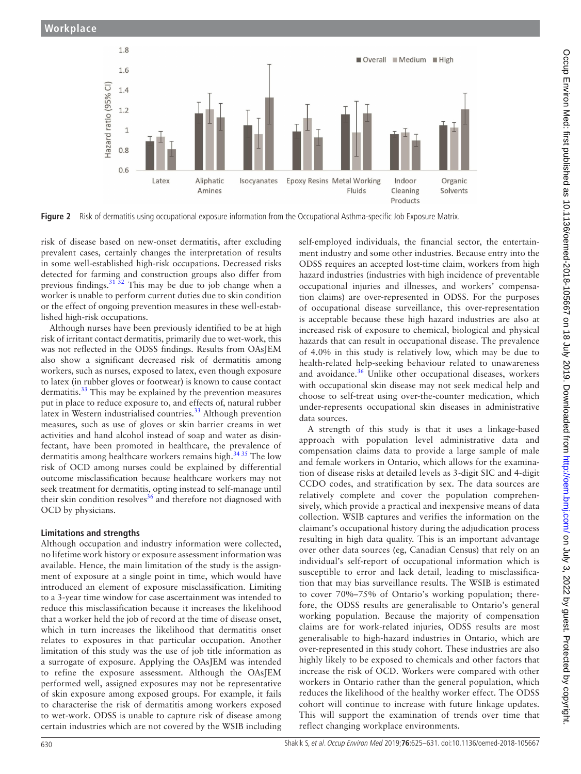

<span id="page-5-0"></span>**Figure 2** Risk of dermatitis using occupational exposure information from the Occupational Asthma-specific Job Exposure Matrix.

risk of disease based on new-onset dermatitis, after excluding prevalent cases, certainly changes the interpretation of results in some well-established high-risk occupations. Decreased risks detected for farming and construction groups also differ from previous findings. $31\overline{32}$  This may be due to job change when a worker is unable to perform current duties due to skin condition or the effect of ongoing prevention measures in these well-established high-risk occupations.

Although nurses have been previously identified to be at high risk of irritant contact dermatitis, primarily due to wet-work, this was not reflected in the ODSS findings. Results from OAsJEM also show a significant decreased risk of dermatitis among workers, such as nurses, exposed to latex, even though exposure to latex (in rubber gloves or footwear) is known to cause contact dermatitis.<sup>33</sup> This may be explained by the prevention measures put in place to reduce exposure to, and effects of, natural rubber latex in Western industrialised countries.<sup>33</sup> Although prevention measures, such as use of gloves or skin barrier creams in wet activities and hand alcohol instead of soap and water as disinfectant, have been promoted in healthcare, the prevalence of dermatitis among healthcare workers remains high.<sup>[34 35](#page-6-26)</sup> The low risk of OCD among nurses could be explained by differential outcome misclassification because healthcare workers may not seek treatment for dermatitis, opting instead to self-manage until their skin condition resolves $36$  and therefore not diagnosed with OCD by physicians.

# **Limitations and strengths**

Although occupation and industry information were collected, no lifetime work history or exposure assessment information was available. Hence, the main limitation of the study is the assignment of exposure at a single point in time, which would have introduced an element of exposure misclassification. Limiting to a 3-year time window for case ascertainment was intended to reduce this misclassification because it increases the likelihood that a worker held the job of record at the time of disease onset, which in turn increases the likelihood that dermatitis onset relates to exposures in that particular occupation. Another limitation of this study was the use of job title information as a surrogate of exposure. Applying the OAsJEM was intended to refine the exposure assessment. Although the OAsJEM performed well, assigned exposures may not be representative of skin exposure among exposed groups. For example, it fails to characterise the risk of dermatitis among workers exposed to wet-work. ODSS is unable to capture risk of disease among certain industries which are not covered by the WSIB including self-employed individuals, the financial sector, the entertainment industry and some other industries. Because entry into the ODSS requires an accepted lost-time claim, workers from high hazard industries (industries with high incidence of preventable occupational injuries and illnesses, and workers' compensation claims) are over-represented in ODSS. For the purposes of occupational disease surveillance, this over-representation is acceptable because these high hazard industries are also at increased risk of exposure to chemical, biological and physical hazards that can result in occupational disease. The prevalence of 4.0% in this study is relatively low, which may be due to health-related help-seeking behaviour related to unawareness and avoidance. $36$  Unlike other occupational diseases, workers with occupational skin disease may not seek medical help and choose to self-treat using over-the-counter medication, which under-represents occupational skin diseases in administrative data sources.

A strength of this study is that it uses a linkage-based approach with population level administrative data and compensation claims data to provide a large sample of male and female workers in Ontario, which allows for the examination of disease risks at detailed levels as 3-digit SIC and 4-digit CCDO codes, and stratification by sex. The data sources are relatively complete and cover the population comprehensively, which provide a practical and inexpensive means of data collection. WSIB captures and verifies the information on the claimant's occupational history during the adjudication process resulting in high data quality. This is an important advantage over other data sources (eg, Canadian Census) that rely on an individual's self-report of occupational information which is susceptible to error and lack detail, leading to misclassification that may bias surveillance results. The WSIB is estimated to cover 70%–75% of Ontario's working population; therefore, the ODSS results are generalisable to Ontario's general working population. Because the majority of compensation claims are for work-related injuries, ODSS results are most generalisable to high-hazard industries in Ontario, which are over-represented in this study cohort. These industries are also highly likely to be exposed to chemicals and other factors that increase the risk of OCD. Workers were compared with other workers in Ontario rather than the general population, which reduces the likelihood of the healthy worker effect. The ODSS cohort will continue to increase with future linkage updates. This will support the examination of trends over time that reflect changing workplace environments.